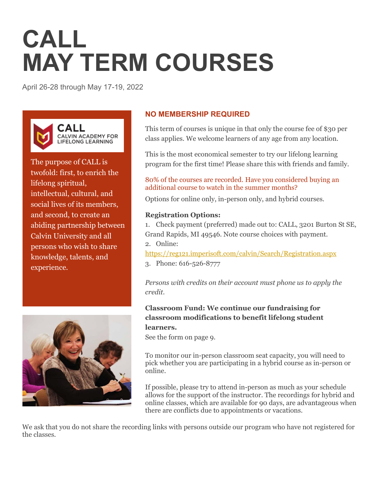# **CALL MAY TERM COURSES**

April 26-28 through May 17-19, 2022



The purpose of CALL is twofold: first, to enrich the lifelong spiritual, intellectual, cultural, and social lives of its members, and second, to create an abiding partnership between Calvin University and all persons who wish to share knowledge, talents, and experience.



# **NO MEMBERSHIP REQUIRED**

This term of courses is unique in that only the course fee of \$30 per class applies. We welcome learners of any age from any location.

This is the most economical semester to try our lifelong learning program for the first time! Please share this with friends and family.

## 80% of the courses are recorded. Have you considered buying an additional course to watch in the summer months?

Options for online only, in-person only, and hybrid courses.

# **Registration Options:**

1. Check payment (preferred) made out to: CALL, 3201 Burton St SE, Grand Rapids, MI 49546. Note course choices with payment. 2. Online:

<https://reg121.imperisoft.com/calvin/Search/Registration.aspx> 3. Phone: 616-526-8777

*Persons with credits on their account must phone us to apply the credit.*

# **Classroom Fund: We continue our fundraising for classroom modifications to benefit lifelong student learners.**

See the form on page 9.

To monitor our in-person classroom seat capacity, you will need to pick whether you are participating in a hybrid course as in-person or online.

If possible, please try to attend in-person as much as your schedule allows for the support of the instructor. The recordings for hybrid and online classes, which are available for 90 days, are advantageous when there are conflicts due to appointments or vacations.

We ask that you do not share the recording links with persons outside our program who have not registered for the classes.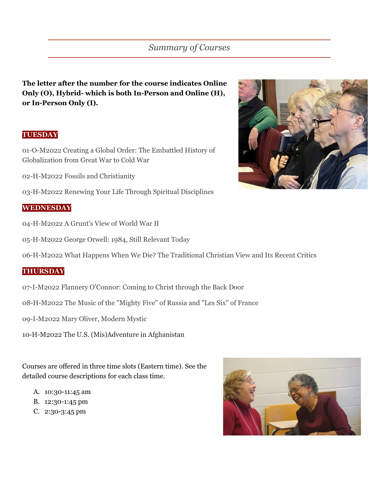**The letter after the number for the course indicates Online Only (O), Hybrid- which is both In-Person and Online (H), or In-Person Only (I).**

# **TUESDAY**

01-O-M2022 Creating a Global Order: The Embattled History of Globalization from Great War to Cold War

02-H-M2022 Fossils and Christianity

03-H-M2022 Renewing Your Life Through Spiritual Disciplines

## **WEDNESDAY**

- 04-H-M2022 A Grunt's View of World War II
- 05-H-M2022 George Orwell: 1984, Still Relevant Today

06-H-M2022 What Happens When We Die? The Traditional Christian View and Its Recent Critics

#### **THURSDAY**

- 07-I-M2022 Flannery O'Connor: Coming to Christ through the Back Door
- 08-H-M2022 The Music of the "Mighty Five" of Russia and "Les Six" of France
- 09-I-M2022 Mary Oliver, Modern Mystic
- 10-H-M2022 The U.S. (Mis)Adventure in Afghanistan

Courses are offered in three time slots (Eastern time). See the detailed course descriptions for each class time.

- A. 10:30-11:45 am
- B. 12:30-1:45 pm
- C. 2:30-3:45 pm



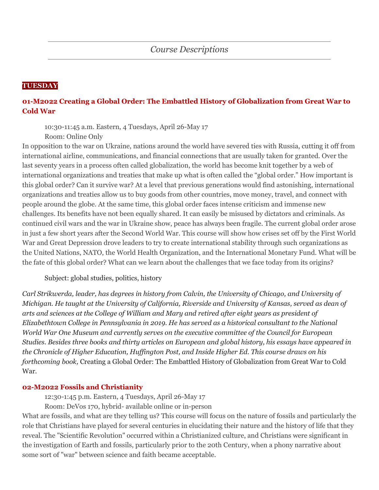# **TUESDAY**

# **01-M2022 Creating a Global Order: The Embattled History of Globalization from Great War to Cold War**

10:30-11:45 a.m. Eastern, 4 Tuesdays, April 26-May 17 Room: Online Only

In opposition to the war on Ukraine, nations around the world have severed ties with Russia, cutting it off from international airline, communications, and financial connections that are usually taken for granted. Over the last seventy years in a process often called globalization, the world has become knit together by a web of international organizations and treaties that make up what is often called the "global order." How important is this global order? Can it survive war? At a level that previous generations would find astonishing, international organizations and treaties allow us to buy goods from other countries, move money, travel, and connect with people around the globe. At the same time, this global order faces intense criticism and immense new challenges. Its benefits have not been equally shared. It can easily be misused by dictators and criminals. As continued civil wars and the war in Ukraine show, peace has always been fragile. The current global order arose in just a few short years after the Second World War. This course will show how crises set off by the First World War and Great Depression drove leaders to try to create international stability through such organizations as the United Nations, NATO, the World Health Organization, and the International Monetary Fund. What will be the fate of this global order? What can we learn about the challenges that we face today from its origins?

Subject: global studies, politics, history

*Carl Strikwerda, leader, has degrees in history from Calvin, the University of Chicago, and University of Michigan. He taught at the University of California, Riverside and University of Kansas, served as dean of arts and sciences at the College of William and Mary and retired after eight years as president of Elizabethtown College in Pennsylvania in 2019. He has served as a historical consultant to the National World War One Museum and currently serves on the executive committee of the Council for European Studies. Besides three books and thirty articles on European and global history, his essays have appeared in the Chronicle of Higher Education, Huffington Post, and Inside Higher Ed. This course draws on his forthcoming book,* Creating a Global Order: The Embattled History of Globalization from Great War to Cold War*.*

#### **02-M2022 Fossils and Christianity**

12:30-1:45 p.m. Eastern, 4 Tuesdays, April 26-May 17

Room: DeVos 170, hybrid- available online or in-person

What are fossils, and what are they telling us? This course will focus on the nature of fossils and particularly the role that Christians have played for several centuries in elucidating their nature and the history of life that they reveal. The "Scientific Revolution" occurred within a Christianized culture, and Christians were significant in the investigation of Earth and fossils, particularly prior to the 20th Century, when a phony narrative about some sort of "war" between science and faith became acceptable.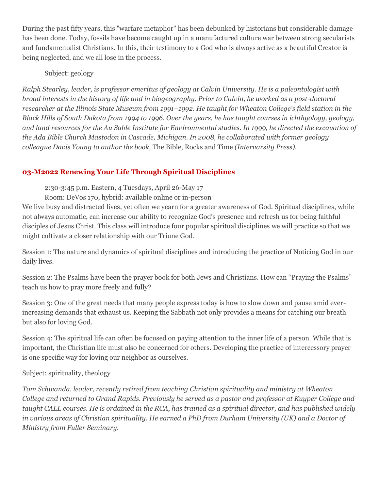During the past fifty years, this "warfare metaphor" has been debunked by historians but considerable damage has been done. Today, fossils have become caught up in a manufactured culture war between strong secularists and fundamentalist Christians. In this, their testimony to a God who is always active as a beautiful Creator is being neglected, and we all lose in the process.

Subject: geology

*Ralph Stearley, leader, is professor emeritus of geology at Calvin University. He is a paleontologist with broad interests in the history of life and in biogeography. Prior to Calvin, he worked as a post-doctoral researcher at the Illinois State Museum from 1991–1992. He taught for Wheaton College's field station in the Black Hills of South Dakota from 1994 to 1996. Over the years, he has taught courses in ichthyology, geology, and land resources for the Au Sable Institute for Environmental studies. In 1999, he directed the excavation of the Ada Bible Church Mastodon in Cascade, Michigan. In 2008, he collaborated with former geology colleague Davis Young to author the book,* The Bible, Rocks and Time *(Intervarsity Press).*

# **03-M2022 Renewing Your Life Through Spiritual Disciplines**

2:30-3:45 p.m. Eastern, 4 Tuesdays, April 26-May 17

Room: DeVos 170, hybrid: available online or in-person

We live busy and distracted lives, yet often we yearn for a greater awareness of God. Spiritual disciplines, while not always automatic, can increase our ability to recognize God's presence and refresh us for being faithful disciples of Jesus Christ. This class will introduce four popular spiritual disciplines we will practice so that we might cultivate a closer relationship with our Triune God.

Session 1: The nature and dynamics of spiritual disciplines and introducing the practice of Noticing God in our daily lives.

Session 2: The Psalms have been the prayer book for both Jews and Christians. How can "Praying the Psalms" teach us how to pray more freely and fully?

Session 3: One of the great needs that many people express today is how to slow down and pause amid everincreasing demands that exhaust us. Keeping the Sabbath not only provides a means for catching our breath but also for loving God.

Session 4: The spiritual life can often be focused on paying attention to the inner life of a person. While that is important, the Christian life must also be concerned for others. Developing the practice of intercessory prayer is one specific way for loving our neighbor as ourselves.

# Subject: spirituality, theology

*Tom Schwanda, leader, recently retired from teaching Christian spirituality and ministry at Wheaton College and returned to Grand Rapids. Previously he served as a pastor and professor at Kuyper College and taught CALL courses. He is ordained in the RCA, has trained as a spiritual director, and has published widely in various areas of Christian spirituality. He earned a PhD from Durham University (UK) and a Doctor of Ministry from Fuller Seminary.*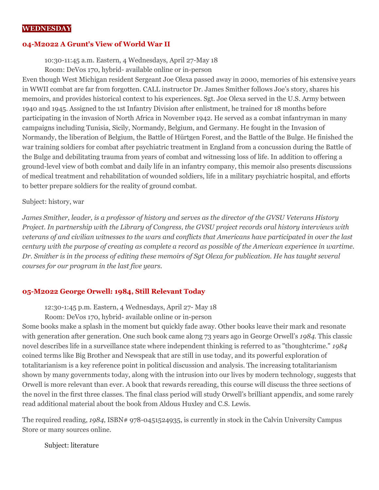#### **WEDNESDAY**

#### **04-M2022 A Grunt's View of World War II**

10:30-11:45 a.m. Eastern, 4 Wednesdays, April 27-May 18

Room: DeVos 170, hybrid- available online or in-person

Even though West Michigan resident Sergeant Joe Olexa passed away in 2000, memories of his extensive years in WWII combat are far from forgotten. CALL instructor Dr. James Smither follows Joe's story, shares his memoirs, and provides historical context to his experiences. Sgt. Joe Olexa served in the U.S. Army between 1940 and 1945. Assigned to the 1st Infantry Division after enlistment, he trained for 18 months before participating in the invasion of North Africa in November 1942. He served as a combat infantryman in many campaigns including Tunisia, Sicily, Normandy, Belgium, and Germany. He fought in the Invasion of Normandy, the liberation of Belgium, the Battle of Hürtgen Forest, and the Battle of the Bulge. He finished the war training soldiers for combat after psychiatric treatment in England from a concussion during the Battle of the Bulge and debilitating trauma from years of combat and witnessing loss of life. In addition to offering a ground-level view of both combat and daily life in an infantry company, this memoir also presents discussions of medical treatment and rehabilitation of wounded soldiers, life in a military psychiatric hospital, and efforts to better prepare soldiers for the reality of ground combat.

#### Subject: history, war

*James Smither, leader, is a professor of history and serves as the director of the GVSU Veterans History Project. In partnership with the Library of Congress, the GVSU project records oral history interviews with veterans of and civilian witnesses to the wars and conflicts that Americans have participated in over the last century with the purpose of creating as complete a record as possible of the American experience in wartime. Dr. Smither is in the process of editing these memoirs of Sgt Olexa for publication. He has taught several courses for our program in the last five years.*

#### **05-M2022 George Orwell: 1984, Still Relevant Today**

12:30-1:45 p.m. Eastern, 4 Wednesdays, April 27- May 18

Room: DeVos 170, hybrid- available online or in-person

Some books make a splash in the moment but quickly fade away. Other books leave their mark and resonate with generation after generation. One such book came along 73 years ago in George Orwell's *1984.* This classic novel describes life in a surveillance state where independent thinking is referred to as "thoughtcrime." *1984* coined terms like Big Brother and Newspeak that are still in use today, and its powerful exploration of totalitarianism is a key reference point in political discussion and analysis. The increasing totalitarianism shown by many governments today, along with the intrusion into our lives by modern technology, suggests that Orwell is more relevant than ever. A book that rewards rereading, this course will discuss the three sections of the novel in the first three classes. The final class period will study Orwell's brilliant appendix, and some rarely read additional material about the book from Aldous Huxley and C.S. Lewis.

The required reading, 1984, ISBN# 978-0451524935, is currently in stock in the Calvin University Campus Store or many sources online.

Subject: literature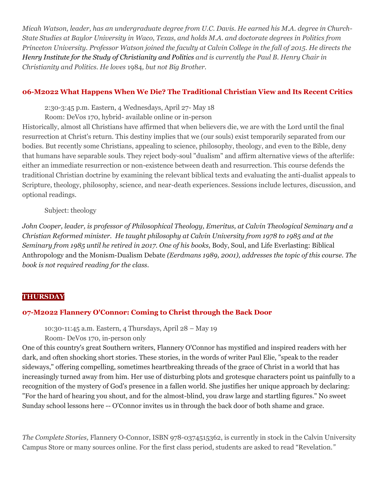*Micah Watson, leader, has an undergraduate degree from U.C. Davis. He earned his M.A. degree in Church-State Studies at Baylor University in Waco, Texas, and holds M.A. and doctorate degrees in Politics from Princeton University. Professor Watson joined the faculty at Calvin College in the fall of 2015. He directs the [Henry Institute for the Study of Christianity and Politics](http://www.calvin.edu/henry) and is currently the Paul B. Henry Chair in Christianity and Politics. He loves* 1984*, but not Big Brother.*

## **06-M2022 What Happens When We Die? The Traditional Christian View and Its Recent Critics**

2:30-3:45 p.m. Eastern, 4 Wednesdays, April 27- May 18

Room: DeVos 170, hybrid- available online or in-person

Historically, almost all Christians have affirmed that when believers die, we are with the Lord until the final resurrection at Christ's return. This destiny implies that we (our souls) exist temporarily separated from our bodies. But recently some Christians, appealing to science, philosophy, theology, and even to the Bible, deny that humans have separable souls. They reject body-soul "dualism" and affirm alternative views of the afterlife: either an immediate resurrection or non-existence between death and resurrection. This course defends the traditional Christian doctrine by examining the relevant biblical texts and evaluating the anti-dualist appeals to Scripture, theology, philosophy, science, and near-death experiences. Sessions include lectures, discussion, and optional readings.

Subject: theology

*John Cooper, leader, is professor of Philosophical Theology, Emeritus, at Calvin Theological Seminary and a Christian Reformed minister. He taught philosophy at Calvin University from 1978 to 1985 and at the Seminary from 1985 until he retired in 2017. One of his books,* Body, Soul, and Life Everlasting: Biblical Anthropology and the Monism-Dualism Debate *(Eerdmans 1989, 2001), addresses the topic of this course. The book is not required reading for the class.*

# **THURSDAY**

# **07-M2022 Flannery O'Connor: Coming to Christ through the Back Door**

10:30-11:45 a.m. Eastern, 4 Thursdays, April 28 – May 19

Room- DeVos 170, in-person only

One of this country's great Southern writers, Flannery O'Connor has mystified and inspired readers with her dark, and often shocking short stories. These stories, in the words of writer Paul Elie, "speak to the reader sideways," offering compelling, sometimes heartbreaking threads of the grace of Christ in a world that has increasingly turned away from him. Her use of disturbing plots and grotesque characters point us painfully to a recognition of the mystery of God's presence in a fallen world. She justifies her unique approach by declaring: "For the hard of hearing you shout, and for the almost-blind, you draw large and startling figures." No sweet Sunday school lessons here -- O'Connor invites us in through the back door of both shame and grace.

*The Complete Stories,* Flannery O-Connor, ISBN 978-0374515362, is currently in stock in the Calvin University Campus Store or many sources online. For the first class period, students are asked to read "Revelation*."*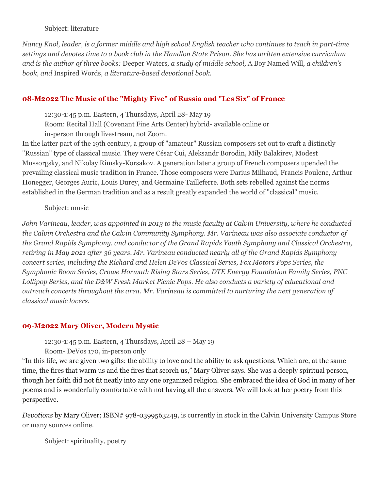#### Subject: literature

*Nancy Knol, leader, is a former middle and high school English teacher who continues to teach in part-time settings and devotes time to a book club in the Handlon State Prison. She has written extensive curriculum and is the author of three books:* Deeper Waters*, a study of middle school,* A Boy Named Will*, a children's book, and* Inspired Words*, a literature-based devotional book.*

# **08-M2022 The Music of the "Mighty Five" of Russia and "Les Six" of France**

12:30-1:45 p.m. Eastern, 4 Thursdays, April 28- May 19

Room: Recital Hall (Covenant Fine Arts Center) hybrid- available online or

in-person through livestream, not Zoom.

In the latter part of the 19th century, a group of "amateur" Russian composers set out to craft a distinctly "Russian" type of classical music. They were César Cui, Aleksandr Borodin, Mily Balakirev, Modest Mussorgsky, and Nikolay Rimsky-Korsakov. A generation later a group of French composers upended the prevailing classical music tradition in France. Those composers were Darius Milhaud, Francis Poulenc, Arthur Honegger, Georges Auric, Louis Durey, and Germaine Tailleferre. Both sets rebelled against the norms established in the German tradition and as a result greatly expanded the world of "classical" music.

# Subject: music

*John Varineau, leader, was appointed in 2013 to the music faculty at Calvin University, where he conducted the Calvin Orchestra and the Calvin Community Symphony. Mr. Varineau was also associate conductor of the Grand Rapids Symphony, and conductor of the Grand Rapids Youth Symphony and Classical Orchestra, retiring in May 2021 after 36 years. Mr. Varineau conducted nearly all of the Grand Rapids Symphony concert series, including the Richard and Helen DeVos Classical Series, Fox Motors Pops Series, the Symphonic Boom Series, Crowe Horwath Rising Stars Series, DTE Energy Foundation Family Series, PNC Lollipop Series, and the D&W Fresh Market Picnic Pops. He also conducts a variety of educational and outreach concerts throughout the area. Mr. Varineau is committed to nurturing the next generation of classical music lovers.*

# **09-M2022 Mary Oliver, Modern Mystic**

12:30-1:45 p.m. Eastern, 4 Thursdays, April 28 – May 19

Room- DeVos 170, in-person only

"In this life, we are given two gifts: the ability to love and the ability to ask questions. Which are, at the same time, the fires that warm us and the fires that scorch us," Mary Oliver says. She was a deeply spiritual person, though her faith did not fit neatly into any one organized religion. She embraced the idea of God in many of her poems and is wonderfully comfortable with not having all the answers. We will look at her poetry from this perspective.

*Devotions* by Mary Oliver; ISBN# 978-0399563249, is currently in stock in the Calvin University Campus Store or many sources online.

Subject: spirituality, poetry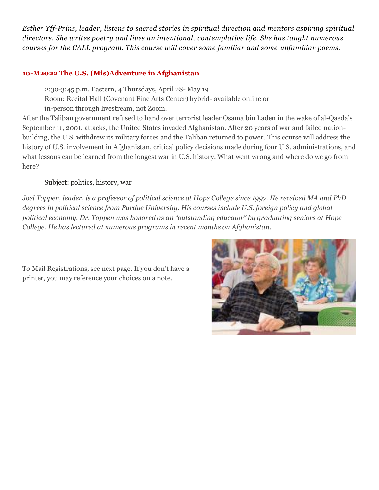*Esther Yff-Prins, leader, listens to sacred stories in spiritual direction and mentors aspiring spiritual directors. She writes poetry and lives an intentional, contemplative life. She has taught numerous courses for the CALL program. This course will cover some familiar and some unfamiliar poems.* 

# **10-M2022 The U.S. (Mis)Adventure in Afghanistan**

2:30-3:45 p.m. Eastern, 4 Thursdays, April 28- May 19

Room: Recital Hall (Covenant Fine Arts Center) hybrid- available online or

in-person through livestream, not Zoom.

After the Taliban government refused to hand over terrorist leader Osama bin Laden in the wake of al-Qaeda's September 11, 2001, attacks, the United States invaded Afghanistan. After 20 years of war and failed nationbuilding, the U.S. withdrew its military forces and the Taliban returned to power. This course will address the history of U.S. involvement in Afghanistan, critical policy decisions made during four U.S. administrations, and what lessons can be learned from the longest war in U.S. history. What went wrong and where do we go from here?

Subject: politics, history, war

*Joel Toppen, leader, is a professor of political science at Hope College since 1997. He received MA and PhD degrees in political science from Purdue University. His courses include U.S. foreign policy and global political economy. Dr. Toppen was honored as an "outstanding educator" by graduating seniors at Hope College. He has lectured at numerous programs in recent months on Afghanistan.*

To Mail Registrations, see next page. If you don't have a printer, you may reference your choices on a note.